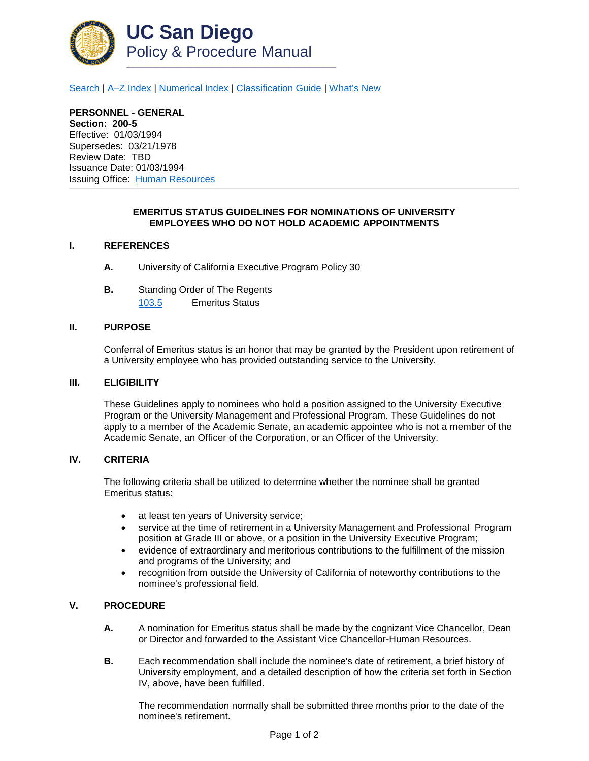

[Search](http://adminrecords.ucsd.edu/ppm/index.html) | [A–Z Index](http://adminrecords.ucsd.edu/ppm/ppmindex.html) | [Numerical Index](http://adminrecords.ucsd.edu/ppm/numerical.html) | [Classification Guide](http://adminrecords.ucsd.edu/ppm/alphabetical.html) | [What's New](http://adminrecords.ucsd.edu/ppm/whatsnew.html)

**PERSONNEL - GENERAL Section: 200-5** Effective: 01/03/1994 Supersedes: 03/21/1978 Review Date: TBD Issuance Date: 01/03/1994 Issuing Office:[Human Resources](http://blink.ucsd.edu/HR/index.html)

## **EMERITUS STATUS GUIDELINES FOR NOMINATIONS OF UNIVERSITY EMPLOYEES WHO DO NOT HOLD ACADEMIC APPOINTMENTS**

# **I. REFERENCES**

- **A.** University of California Executive Program Policy 30
- **B.** Standing Order of The Regents [103.5](http://regents.universityofcalifornia.edu/governance/standing-orders/so1035.html) Emeritus Status

#### **II. PURPOSE**

Conferral of Emeritus status is an honor that may be granted by the President upon retirement of a University employee who has provided outstanding service to the University.

#### **III. ELIGIBILITY**

These Guidelines apply to nominees who hold a position assigned to the University Executive Program or the University Management and Professional Program. These Guidelines do not apply to a member of the Academic Senate, an academic appointee who is not a member of the Academic Senate, an Officer of the Corporation, or an Officer of the University.

### **IV. CRITERIA**

The following criteria shall be utilized to determine whether the nominee shall be granted Emeritus status:

- at least ten years of University service;
- service at the time of retirement in a University Management and Professional Program position at Grade III or above, or a position in the University Executive Program;
- evidence of extraordinary and meritorious contributions to the fulfillment of the mission and programs of the University; and
- recognition from outside the University of California of noteworthy contributions to the nominee's professional field.

# **V. PROCEDURE**

- **A.** A nomination for Emeritus status shall be made by the cognizant Vice Chancellor, Dean or Director and forwarded to the Assistant Vice Chancellor-Human Resources.
- **B.** Each recommendation shall include the nominee's date of retirement, a brief history of University employment, and a detailed description of how the criteria set forth in Section IV, above, have been fulfilled.

The recommendation normally shall be submitted three months prior to the date of the nominee's retirement.